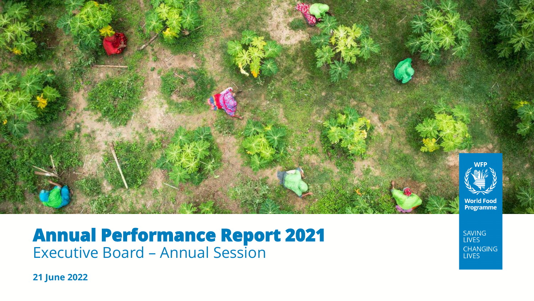

### **Annual Performance Report 2021** Executive Board – Annual Session

**21 June 2022**

**SAVING LIVES** CHANGING **LIVES**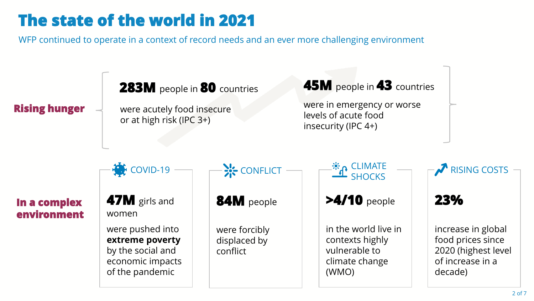# **The state of the world in 2021**

WFP continued to operate in a context of record needs and an ever more challenging environment

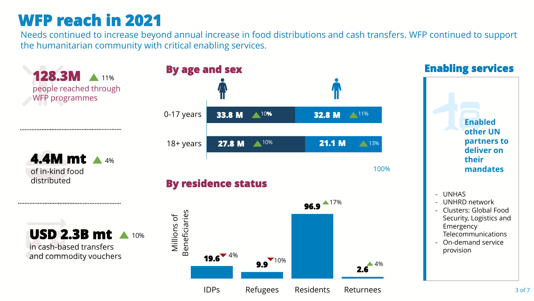## **WFP reach in 2021**

Needs continued to increase beyond annual increase in food distributions and cash transfers. WFP continued to support the humanitarian community with critical enabling services.

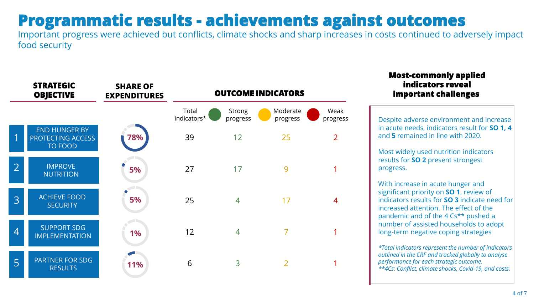### **Programmatic results - achievements against outcomes**

Important progress were achieved but conflicts, climate shocks and sharp increases in costs continued to adversely impact food security



#### **Most-commonly applied indicators reveal important challenges**

Despite adverse environment and increase in acute needs, indicators result for **SO 1, 4**  and **5** remained in line with 2020.

Most widely used nutrition indicators results for **SO 2** present strongest progress.

With increase in acute hunger and significant priority on **SO 1**, review of indicators results for **SO 3** indicate need for increased attention. The effect of the pandemic and of the 4 Cs\*\* pushed a number of assisted households to adopt long-term negative coping strategies

*\*Total indicators represent the number of indicators outlined in the CRF and tracked globally to analyse performance for each strategic outcome. \*\*4Cs: Conflict, climate shocks, Covid-19, and costs.*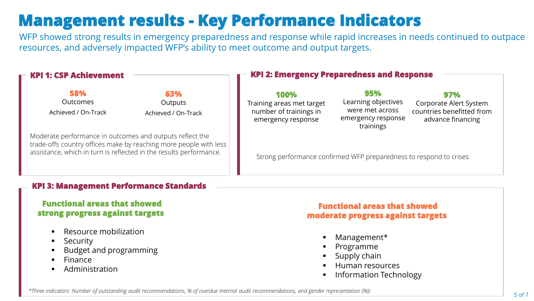## **Management results - Key Performance Indicators**

WFP showed strong results in emergency preparedness and response while rapid increases in needs continued to outpace resources, and adversely impacted WFP's ability to meet outcome and output targets.

| <b>KPI 1: CSP Achievement</b>                                                                                                                                                                       |                                              | <b>KPI 2: Emergency Preparedness and Response</b>                                 |                                                                                  |                                                                                 |
|-----------------------------------------------------------------------------------------------------------------------------------------------------------------------------------------------------|----------------------------------------------|-----------------------------------------------------------------------------------|----------------------------------------------------------------------------------|---------------------------------------------------------------------------------|
| 58%<br>Outcomes<br>Achieved / On-Track                                                                                                                                                              | 63%<br><b>Outputs</b><br>Achieved / On-Track | 100%<br>Training areas met target<br>number of trainings in<br>emergency response | 95%<br>Learning objectives<br>were met across<br>emergency response<br>trainings | 97%<br>Corporate Alert System<br>countries benefitted from<br>advance financing |
| Moderate performance in outcomes and outputs reflect the<br>trade-offs country offices make by reaching more people with less<br>assistance, which in turn is reflected in the results performance. |                                              | Strong performance confirmed WFP preparedness to respond to crises                |                                                                                  |                                                                                 |

#### **KPI 3: Management Performance Standards**

#### **Functional areas that showed strong progress against targets**

- Resource mobilization
- **■** Security
- **Budget and programming**
- **Finance**
- **Administration**

#### **Functional areas that showed moderate progress against targets**

- Management\*
- **Programme**
- Supply chain
- Human resources
- **Information Technology**

*\*Three indicators: Number of outstanding audit recommendations, % of overdue internal audit recommendations, and gender representation (%))*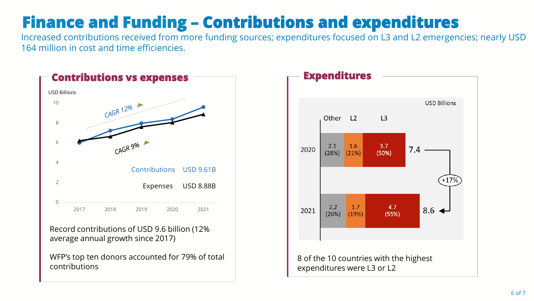# **Finance and Funding – Contributions and expenditures**

Increased contributions received from more funding sources; expenditures focused on L3 and L2 emergencies; nearly USD 164 million in cost and time efficiencies.



Record contributions of USD 9.6 billion (12% average annual growth since 2017)

WFP's top ten donors accounted for 79% of total contributions